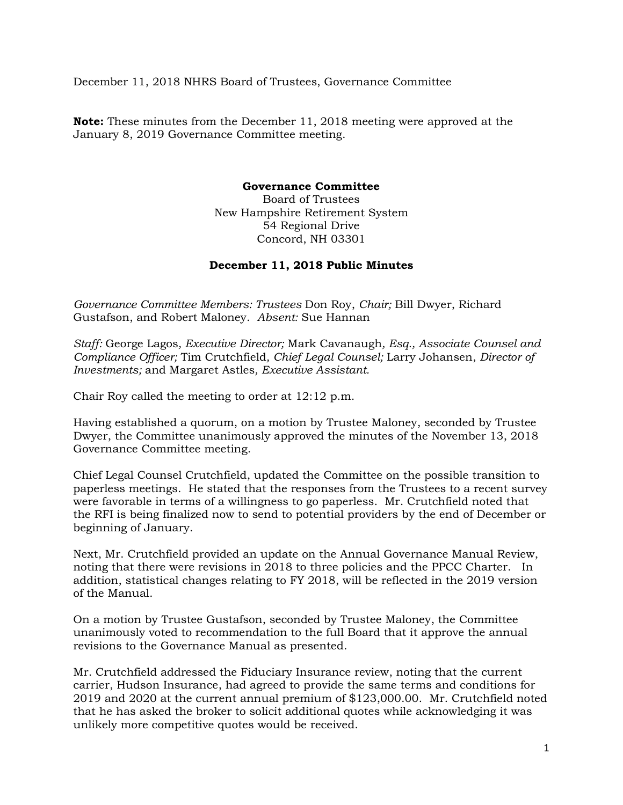December 11, 2018 NHRS Board of Trustees, Governance Committee

**Note:** These minutes from the December 11, 2018 meeting were approved at the January 8, 2019 Governance Committee meeting.

## **Governance Committee**

Board of Trustees New Hampshire Retirement System 54 Regional Drive Concord, NH 03301

## **December 11, 2018 Public Minutes**

*Governance Committee Members: Trustees* Don Roy, *Chair;* Bill Dwyer, Richard Gustafson, and Robert Maloney. *Absent:* Sue Hannan

*Staff:* George Lagos*, Executive Director;* Mark Cavanaugh*, Esq., Associate Counsel and Compliance Officer;* Tim Crutchfield*, Chief Legal Counsel;* Larry Johansen, *Director of Investments;* and Margaret Astles*, Executive Assistant.* 

Chair Roy called the meeting to order at 12:12 p.m.

Having established a quorum, on a motion by Trustee Maloney, seconded by Trustee Dwyer, the Committee unanimously approved the minutes of the November 13, 2018 Governance Committee meeting.

Chief Legal Counsel Crutchfield, updated the Committee on the possible transition to paperless meetings. He stated that the responses from the Trustees to a recent survey were favorable in terms of a willingness to go paperless. Mr. Crutchfield noted that the RFI is being finalized now to send to potential providers by the end of December or beginning of January.

Next, Mr. Crutchfield provided an update on the Annual Governance Manual Review, noting that there were revisions in 2018 to three policies and the PPCC Charter. In addition, statistical changes relating to FY 2018, will be reflected in the 2019 version of the Manual.

On a motion by Trustee Gustafson, seconded by Trustee Maloney, the Committee unanimously voted to recommendation to the full Board that it approve the annual revisions to the Governance Manual as presented.

Mr. Crutchfield addressed the Fiduciary Insurance review, noting that the current carrier, Hudson Insurance, had agreed to provide the same terms and conditions for 2019 and 2020 at the current annual premium of \$123,000.00. Mr. Crutchfield noted that he has asked the broker to solicit additional quotes while acknowledging it was unlikely more competitive quotes would be received.